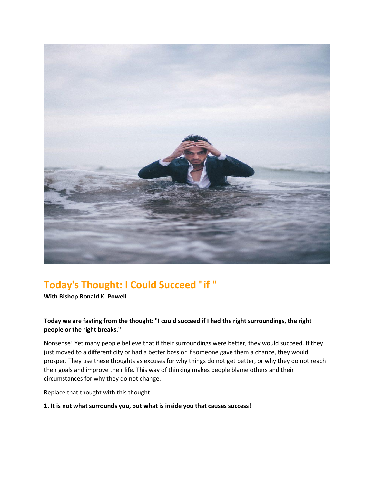

# **Today's Thought: I Could Succeed "if "**

**With Bishop Ronald K. Powell**

# **Today we are fasting from the thought: "I could succeed if I had the right surroundings, the right people or the right breaks."**

Nonsense! Yet many people believe that if their surroundings were better, they would succeed. If they just moved to a different city or had a better boss or if someone gave them a chance, they would prosper. They use these thoughts as excuses for why things do not get better, or why they do not reach their goals and improve their life. This way of thinking makes people blame others and their circumstances for why they do not change.

Replace that thought with this thought:

## **1. It is not what surrounds you, but what is inside you that causes success!**